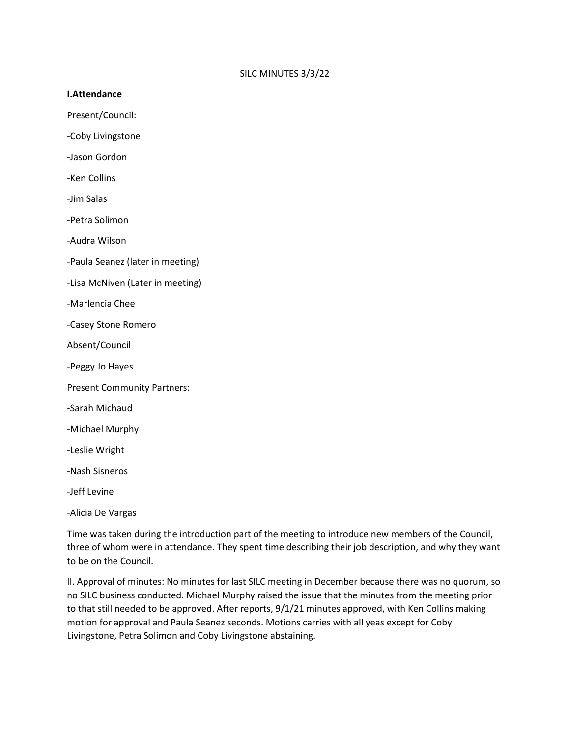## **I.Attendance**

Present/Council:

-Coby Livingstone

-Jason Gordon

-Ken Collins

-Jim Salas

-Petra Solimon

-Audra Wilson

-Paula Seanez (later in meeting)

- -Lisa McNiven (Later in meeting)
- -Marlencia Chee
- -Casey Stone Romero

Absent/Council

- -Peggy Jo Hayes
- Present Community Partners:
- -Sarah Michaud
- -Michael Murphy
- -Leslie Wright
- -Nash Sisneros

-Jeff Levine

-Alicia De Vargas

Time was taken during the introduction part of the meeting to introduce new members of the Council, three of whom were in attendance. They spent time describing their job description, and why they want to be on the Council.

II. Approval of minutes: No minutes for last SILC meeting in December because there was no quorum, so no SILC business conducted. Michael Murphy raised the issue that the minutes from the meeting prior to that still needed to be approved. After reports, 9/1/21 minutes approved, with Ken Collins making motion for approval and Paula Seanez seconds. Motions carries with all yeas except for Coby Livingstone, Petra Solimon and Coby Livingstone abstaining.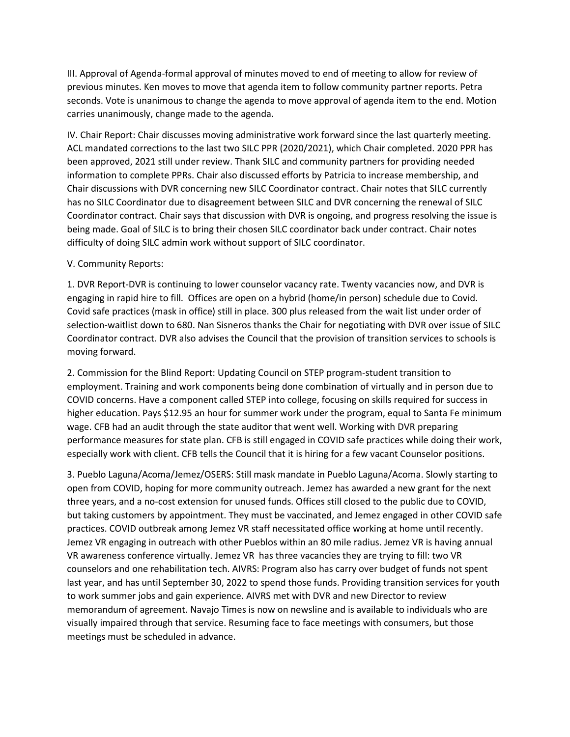III. Approval of Agenda-formal approval of minutes moved to end of meeting to allow for review of previous minutes. Ken moves to move that agenda item to follow community partner reports. Petra seconds. Vote is unanimous to change the agenda to move approval of agenda item to the end. Motion carries unanimously, change made to the agenda.

IV. Chair Report: Chair discusses moving administrative work forward since the last quarterly meeting. ACL mandated corrections to the last two SILC PPR (2020/2021), which Chair completed. 2020 PPR has been approved, 2021 still under review. Thank SILC and community partners for providing needed information to complete PPRs. Chair also discussed efforts by Patricia to increase membership, and Chair discussions with DVR concerning new SILC Coordinator contract. Chair notes that SILC currently has no SILC Coordinator due to disagreement between SILC and DVR concerning the renewal of SILC Coordinator contract. Chair says that discussion with DVR is ongoing, and progress resolving the issue is being made. Goal of SILC is to bring their chosen SILC coordinator back under contract. Chair notes difficulty of doing SILC admin work without support of SILC coordinator.

## V. Community Reports:

1. DVR Report-DVR is continuing to lower counselor vacancy rate. Twenty vacancies now, and DVR is engaging in rapid hire to fill. Offices are open on a hybrid (home/in person) schedule due to Covid. Covid safe practices (mask in office) still in place. 300 plus released from the wait list under order of selection-waitlist down to 680. Nan Sisneros thanks the Chair for negotiating with DVR over issue of SILC Coordinator contract. DVR also advises the Council that the provision of transition services to schools is moving forward.

2. Commission for the Blind Report: Updating Council on STEP program-student transition to employment. Training and work components being done combination of virtually and in person due to COVID concerns. Have a component called STEP into college, focusing on skills required for success in higher education. Pays \$12.95 an hour for summer work under the program, equal to Santa Fe minimum wage. CFB had an audit through the state auditor that went well. Working with DVR preparing performance measures for state plan. CFB is still engaged in COVID safe practices while doing their work, especially work with client. CFB tells the Council that it is hiring for a few vacant Counselor positions.

3. Pueblo Laguna/Acoma/Jemez/OSERS: Still mask mandate in Pueblo Laguna/Acoma. Slowly starting to open from COVID, hoping for more community outreach. Jemez has awarded a new grant for the next three years, and a no-cost extension for unused funds. Offices still closed to the public due to COVID, but taking customers by appointment. They must be vaccinated, and Jemez engaged in other COVID safe practices. COVID outbreak among Jemez VR staff necessitated office working at home until recently. Jemez VR engaging in outreach with other Pueblos within an 80 mile radius. Jemez VR is having annual VR awareness conference virtually. Jemez VR has three vacancies they are trying to fill: two VR counselors and one rehabilitation tech. AIVRS: Program also has carry over budget of funds not spent last year, and has until September 30, 2022 to spend those funds. Providing transition services for youth to work summer jobs and gain experience. AIVRS met with DVR and new Director to review memorandum of agreement. Navajo Times is now on newsline and is available to individuals who are visually impaired through that service. Resuming face to face meetings with consumers, but those meetings must be scheduled in advance.